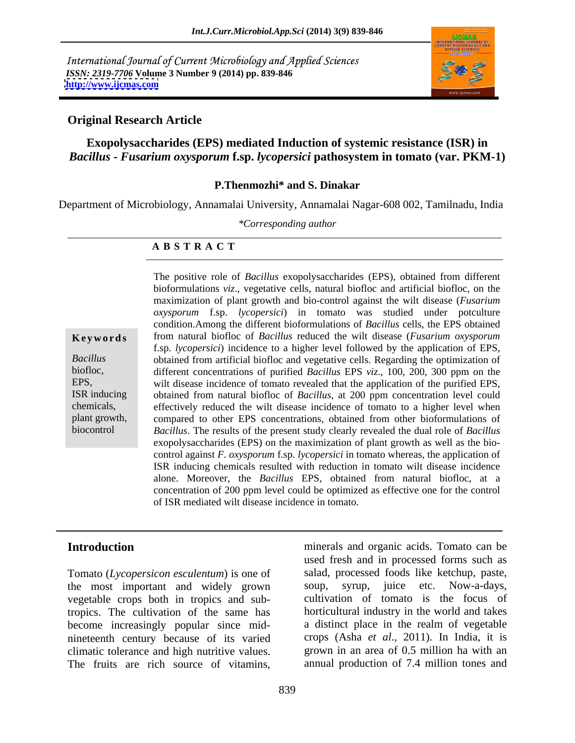International Journal of Current Microbiology and Applied Sciences *ISSN: 2319-7706* **Volume 3 Number 9 (2014) pp. 839-846 <http://www.ijcmas.com>**



### **Original Research Article**

### **Exopolysaccharides (EPS) mediated Induction of systemic resistance (ISR) in**  *Bacillus* **-** *Fusarium oxysporum* **f.sp.** *lycopersici* **pathosystem in tomato (var. PKM-1)**

### **P.Thenmozhi\* and S. Dinakar**

Department of Microbiology, Annamalai University, Annamalai Nagar-608 002, Tamilnadu, India

*\*Corresponding author* 

### **A B S T R A C T**

**Ke ywo rds** from natural biofloc of *Bacillus* reduced the wilt disease (*Fusarium oxysporum Bacillus* obtained from artificial biofloc and vegetative cells. Regarding the optimization of biofloc, different concentrations of purified *Bacillus* EPS *viz*., 100, 200, 300 ppm on the EPS, wilt disease incidence of tomato revealed that the application of the purified EPS, ISR inducing obtained from natural biofloc of *Bacillus*, at 200 ppm concentration level could chemicals, effectively reduced the wilt disease incidence of tomato to a higher level when plant growth, compared to other EPS concentrations, obtained from other bioformulations of biocontrol *Bacillus*. The results of the present study clearly revealed the dual role of *Bacillus* The positive role of *Bacillus* exopolysaccharides (EPS), obtained from different bioformulations *viz*., vegetative cells, natural biofloc and artificial biofloc, on the maximization of plant growth and bio-control against the wilt disease (*Fusarium oxysporum* f.sp. *lycopersici*) in tomato was studied under potculture condition.Among the different bioformulations of *Bacillus* cells, the EPS obtained f.sp. *lycopersici*) incidence to a higher level followed by the application of EPS, exopolysaccharides (EPS) on the maximization of plant growth as well as the bio control against *F. oxysporum* f.sp. *lycopersici* in tomato whereas, the application of ISR inducing chemicals resulted with reduction in tomato wilt disease incidence alone. Moreover, the *Bacillus* EPS, obtained from natural biofloc, at a concentration of 200 ppm level could be optimized as effective one for the control of ISR mediated wilt disease incidence in tomato.

Tomato (*Lycopersicon esculentum*) is one of the most important and widely grown vegetable crops both in tropics and subtropics. The cultivation of the same has become increasingly popular since mid nineteenth century because of its varied climatic tolerance and high nutritive values.

**Introduction** minerals and organic acids. Tomato can be **Introduction**<br>
Introduction<br>
Tomato (*Lycopersicon esculentum*) is one of salad, processed foods like ketchup, paste,<br>
the most important and widely grown soup, syrup, juice etc. Now-a-days,<br>
vegetable crops both in tropi used fresh and in processed forms such as salad, processed foods like ketchup, paste, juice etc. Now-a-days, cultivation of tomato is the focus of horticultural industry in the world and takes a distinct place in the realm of vegetable crops (Asha *et al*., 2011). In India, it is grown in an area of 0.5 million hawith an annual production of 7.4 million tones and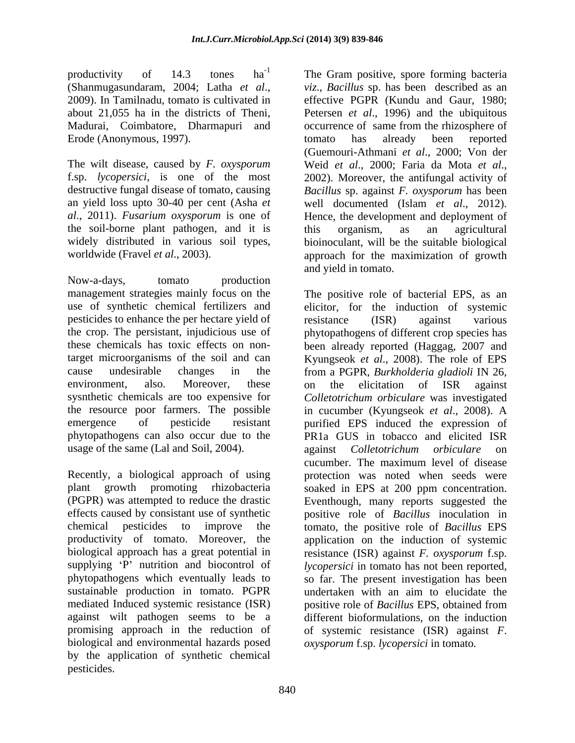productivity of 14.3 tones  $ha^{-1}$  The Gram positive, spore forming bacteria Erode (Anonymous, 1997). The comato has already been reported

The wilt disease, caused by *F. oxysporum* f.sp. *lycopersici*, is one of the most the soil-borne plant pathogen, and it is

Now-a-days, tomato production pesticides to enhance the per hectare yield of resistance (ISR) against various sysnthetic chemicals are too expensive for phytopathogens can also occur due to the

sustainable production in tomato. PGPR undertaken with an aim to elucidate the mediated Induced systemic resistance (ISR) positive role of Bacillus EPS, obtained from against wilt pathogen seems to be a promising approach in the reduction of biological and environmental hazards posed by the application of synthetic chemical pesticides.

(Shanmugasundaram, 2004; Latha *et al.*, *viz., Bacillus* sp. has been described as an 2009). In Tamilnadu, tomato is cultivated in fefective PGPR (Kundu and Gaur, 1980; about 21,055 ha in the districts of Theni, Petersen *et al*., 1996) and the ubiquitous Madurai, Coimbatore, Dharmapuri and occurrence of same from the rhizosphere of destructive fungal disease of tomato, causing *Bacillus* sp. against *F. oxysporum* has been an yield loss upto 30-40 per cent (Asha *et*  well documented (Islam *et al*., 2012). *al*., 2011). *Fusarium oxysporum* is one of Hence, the development and deployment of widely distributed in various soil types, bioinoculant, will be the suitable biological worldwide (Fravel *et al*., 2003). approach for the maximization of growth *viz*., *Bacillus* sp. has been described as an effective PGPR (Kundu and Gaur, 1980; tomato has already been reported (Guemouri-Athmani *et al*., 2000; Von der Weid *et al*., 2000; Faria da Mota *et al*., 2002). Moreover, the antifungal activity of this organism, as an agricultural and yield in tomato.

management strategies mainly focus on the The positive role of bacterial EPS, as an use of synthetic chemical fertilizers and elicitor, for the induction of systemic the crop. The persistant, injudicious use of phytopathogens of different crop species has these chemicals has toxic effects on non-been already reported (Haggag, 2007 and target microorganisms of the soil and can Kyungseok *et al*., 2008).The role of EPS cause undesirable changes in the from a PGPR, *Burkholderia gladioli* IN 26, environment, also. Moreover, these on the elicitation of ISR against the resource poor farmers. The possible in cucumber (Kyungseok *et al*., 2008). A emergence of pesticide resistant purified EPS induced the expression of usage of the same (Lal and Soil, 2004). against *Colletotrichum orbiculare* on Recently, a biological approach of using protection was noted when seeds were plant growth promoting rhizobacteria soaked in EPS at 200 ppm concentration. (PGPR) was attempted to reduce the drastic Eventhough, many reports suggested the effects caused by consistant use of synthetic positive role of *Bacillus* inoculation in chemical pesticides to improve the tomato, the positive role of *Bacillus* EPS productivity of tomato. Moreover, the application on the induction of systemic biological approach has a great potential in resistance (ISR) against *F. oxysporum* f.sp. supplying 'P' nutrition and biocontrol of *lycopersici* in tomato has not been reported, phytopathogens which eventually leads to so far. The present investigation has been resistance (ISR) against various on the elicitation of ISR against *Colletotrichum orbiculare* was investigated PR1a GUS in tobacco and elicited ISR cucumber. The maximum level of disease undertaken with an aim to elucidate the positive role of *Bacillus* EPS, obtained from different bioformulations, on the induction of systemic resistance (ISR) against *F*. *oxysporum* f.sp. *lycopersici* in tomato*.*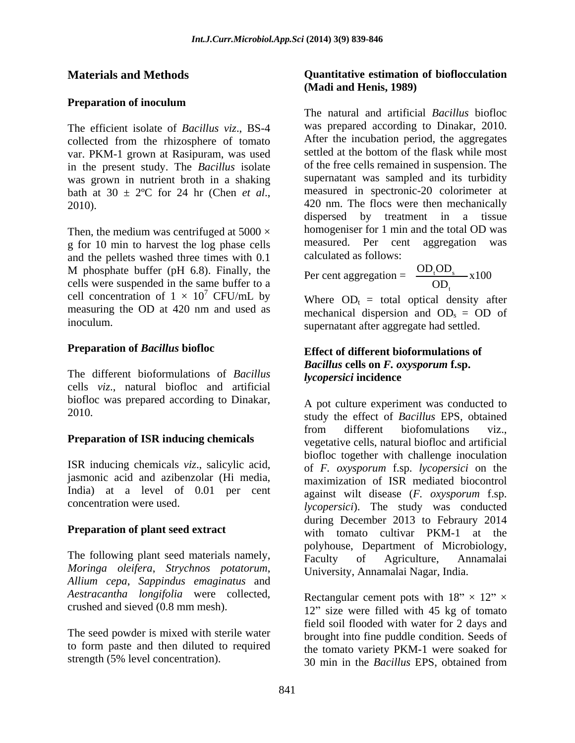## **Preparation of inoculum**

The efficient isolate of *Bacillus viz*., BS-4 collected from the rhizosphere of tomato var. PKM-1 grown at Rasipuram, was used in the present study. The *Bacillus* isolate was grown in nutrient broth in a shaking

Then, the medium was centrifuged at  $5000 \times$ g for 10 min to harvest the log phase cells and the pellets washed three times with 0.1 M phosphate buffer (pH 6.8). Finally, the Per cent aggregation =  $\frac{OD_1OD_5}{OD_1} \times 100$ cells were suspended in the same buffer to a cell concentration of  $1 \times 10^7$  CFU/mL by<br>measuring the OD at 420 nm and used as measuring the OD at 420 nm and used as mechanical dispersion and  $OD_s = OD$  of

The different bioformulations of *Bacillus* cells *viz*., natural biofloc and artificial biofloc was prepared according to Dinakar,

ISR inducing chemicals *viz*., salicylic acid, jasmonic acid and azibenzolar (Hi media, India) at a level of 0.01 per cent

The following plant seed materials namely,  $\overrightarrow{Faculty}$  of Agriculture, Annamalai *Moringa oleifera*, *Strychnos potatorum*, *Allium cepa*, *Sappindus emaginatus* and *Aestracantha longifolia* were collected,

The seed powder is mixed with sterile water to form paste and then diluted to required

### **Materials and Methods Quantitative estimation of bioflocculation (Madi and Henis, 1989)**

bath at  $30 \pm 2^{\circ}$ C for 24 hr (Chen *et al.*, measured in spectronic-20 colorimeter at 420 nm. The flocs were then mechanically The natural and artificial *Bacillus* biofloc was prepared according to Dinakar, 2010. After the incubation period, the aggregates settled at the bottom of the flask while most of the free cells remained in suspension. The supernatant was sampled and its turbidity measured in spectronic-20 colorimeter at 420 nm. The flocs were then mechanically dispersed by treatment in a tissue homogeniser for 1 min and the total OD was measured. Per cent aggregation was calculated as follows:

> $OD<sub>1</sub>$  $\frac{\text{OD}_{\iota} \text{OD}_{\mathbf{s}}}{\text{OD}_{\iota}} \times 100$  $t^{OD_s}$   $\mathbf{v}100$

<sup>7</sup> CFU/mL by  $\overline{W}$  where  $\overline{OD}$  = total optical density after inoculum. supernatant after aggregate had settled. Where  $OD_t = total$  optical density after

### **Preparation of** *Bacillus* **biofloc Effect of different bioformulations of**  *Bacillus* **cells on** *F. oxysporum* **f.sp.**  *lycopersici* **incidence**

2010. study the effect of *Bacillus* EPS, obtained **Preparation of ISR inducing chemicals** vegetative cells, natural biofloc and artificial concentration were used. *lycopersici*). The study was conducted **Preparation of plant seed extract** with tomato cultivar PKM-1 at the A pot culture experiment was conducted to from different biofomulations viz., vegetative cells, natural biofloc and artificial biofloc together with challenge inoculation of *F. oxysporum* f.sp. *lycopersici* on the maximization of ISR mediated biocontrol against wilt disease (*F. oxysporum* f.sp. during December 2013 to Febraury 2014 polyhouse, Department of Microbiology, Faculty of Agriculture, Annamalai University, Annamalai Nagar, India.

crushed and sieved  $(0.8 \text{ mm mesh})$ .  $12$ " size were filled with 45 kg of tomato strength (5% level concentration). 30 min in the *Bacillus* EPS, obtained fromRectangular cement pots with  $18" \times 12" \times$ field soil flooded with water for 2 days and brought into fine puddle condition. Seeds of the tomato variety PKM-1 were soaked for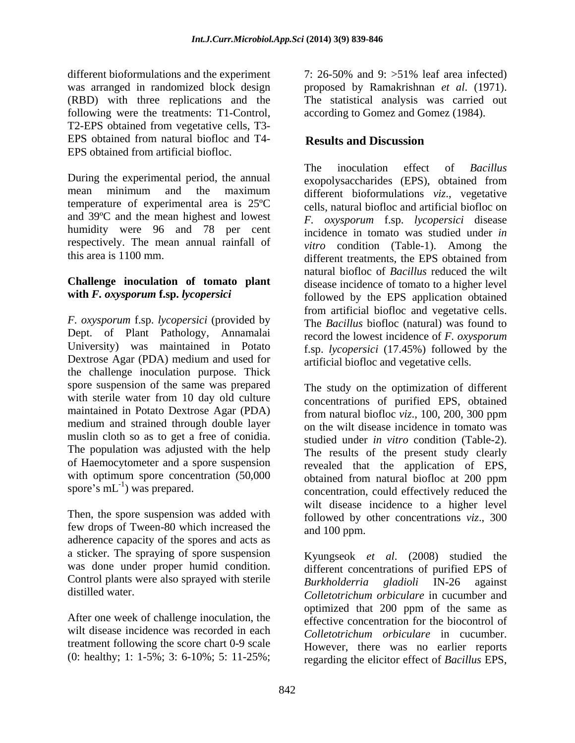different bioformulations and the experiment 7: 26-50% and 9: > 51% leaf area infected) following were the treatments: T1-Control, T2-EPS obtained from vegetative cells, T3- EPS obtained from natural biofloc and T4-<br>Results and Discussion EPS obtained from artificial biofloc.

During the experimental period, the annual<br>mean minimum and the maximum different bioformulations viz vegetative mean minimum and the maximum different bioformulations viz vegetative temperature of experimental area is 25ºC cells, natural biofloc and artificial biofloc on and 39ºC and the mean highest and lowest humidity were 96 and 78 per cent incidence in tomato was studied under *in* respectively. The mean annual rainfall of

# **Challenge inoculation of tomato plant**

*F. oxysporum* f.sp. *lycopersici* (provided by Dept. of Plant Pathology, Annamalai University) was maintained in Potato Dextrose Agar (PDA) medium and used for the challenge inoculation purpose. Thick spore suspension of the same was prepared with sterile water from 10 day old culture medium and strained through double layer muslin cloth so as to get a free of conidia. The population was adjusted with the help of Haemocytometer and a spore suspension with optimum spore concentration  $(50,000$ <br>spore's mL<sup>-1</sup>) was prepared.

Then, the spore suspension was added with few drops of Tween-80 which increased the adherence capacity of the spores and acts as a sticker. The spraying of spore suspension was done under proper humid condition. Control plants were also sprayed with sterile<br>Burkholderria gladioli IN-26 against

After one week of challenge inoculation, the treatment following the score chart 0-9 scale (0: healthy; 1: 1-5%; 3: 6-10%; 5: 11-25%;

was arranged in randomized block design proposed by Ramakrishnan *et al*. (1971). (RBD) with three replications and the The statistical analysis was carried out 7: 26-50% and 9: >51% leaf area infected) according to Gomez and Gomez (1984).

# **Results and Discussion**

this area is 1100 mm. different treatments, the EPS obtained from with *F. oxysporum* f.sp. *lycopersici* followed by the EPS application obtained The inoculation effect of *Bacillus* exopolysaccharides (EPS), obtained from different bioformulations *viz*., vegetative *F. oxysporum* f.sp. *lycopersici* disease *vitro* condition (Table-1). Among the natural biofloc of *Bacillus* reduced the wilt disease incidence of tomato to a higher level from artificial biofloc and vegetative cells. The *Bacillus* biofloc (natural) was found to record the lowest incidence of *F. oxysporum* f.sp. *lycopersici* (17.45%) followed by the artificial biofloc and vegetative cells.

maintained in Potato Dextrose Agar (PDA) from natural biofloc *viz*., 100, 200, 300 ppm spore's  $mL^{-1}$ ) was prepared. concentration, could effectively reduced the  $\frac{1}{1}$  we reported The study on the optimization of different concentrations of purified EPS, obtained on the wilt disease incidence in tomato was studied under *in vitro* condition (Table-2). The results of the present study clearly revealed that the application of EPS, obtained from natural biofloc at 200 ppm wilt disease incidence to a higher level followed by other concentrations *viz*., 300 and 100 ppm.

distilled water. *Colletotrichum orbiculare* in cucumber and wilt disease incidence was recorded in each *Colletotrichum orbiculare* in cucumber. Kyungseok *et al*. (2008) studied the different concentrations of purified EPS of *Burkholderria gladioli* IN-26 against optimized that 200 ppm of the same as effective concentration for the biocontrol of However, there was no earlier reports regarding the elicitor effect of *Bacillus* EPS,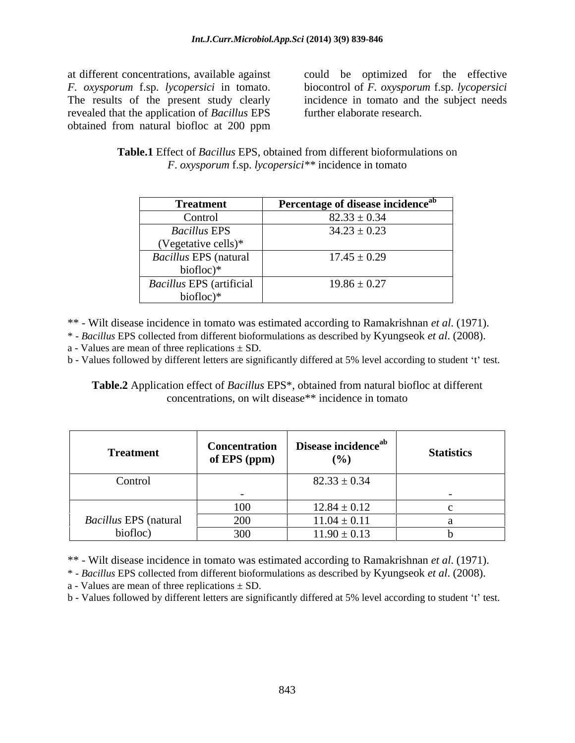at different concentrations, available against could be optimized for the effective *F. oxysporum* f.sp. *lycopersici* in tomato. biocontrol of *F. oxysporum* f.sp. *lycopersici* The results of the present study clearly incidence in tomato and the subject needs revealed that the application of *Bacillus*EPS obtained from natural biofloc at 200 ppm

biocontrol of *F. oxysporum* f.sp. *lycopersici* incidence in tomato and the subject needs further elaborate research.

**Table.1** Effect of *Bacillus* EPS, obtained from different bioformulations on *F*. *oxysporum* f.sp. *lycopersici\*\** incidence in tomato

| <b>Treatment</b>                | Percentage of disease incidence <sup>ab</sup> |
|---------------------------------|-----------------------------------------------|
| Control                         | $82.33 \pm 0.34$                              |
| <b>Bacillus EPS</b>             | $34.23 \pm 0.23$                              |
| (Vegetative cells)*             |                                               |
| <i>Bacillus</i> EPS (natural    | $17.45 \pm 0.29$                              |
| biofloc $)^*$                   |                                               |
| <b>Bacillus EPS</b> (artificial | $19.86 \pm 0.27$                              |
| $biofloc)*$                     |                                               |

\*\* - Wilt disease incidence in tomato was estimated according to Ramakrishnan *et al*. (1971).

\* - *Bacillus* EPS collected from different bioformulations as described by Kyungseok *et al*. (2008). a - Values are mean of three replications  $\pm$  SD.

b - Values followed by different letters are significantly differed at 5% level according to student 't' test.

**Table.2** Application effect of *Bacillus* EPS\*, obtained from natural biofloc at different concentrations, on wilt disease\*\* incidence in tomato

| <b>Treatment</b>             | <b>Concentration</b><br>of EPS (ppm) | Disease incidence <sup>ab</sup><br>(%) | <b>Statistics</b> |
|------------------------------|--------------------------------------|----------------------------------------|-------------------|
| Control                      |                                      | $82.33 \pm 0.34$                       |                   |
|                              |                                      |                                        |                   |
|                              | 100                                  | $12.84 \pm 0.12$                       |                   |
| <b>Bacillus EPS</b> (natural | 200                                  | $11.04 \pm 0.11$                       |                   |
| biofloc)                     | 300                                  | $11.90 \pm 0.13$                       |                   |

\*\* - Wilt disease incidence in tomato was estimated according to Ramakrishnan *et al*. (1971).

\* - *Bacillus* EPS collected from different bioformulations as described by Kyungseok *et al*. (2008).

a - Values are mean of three replications  $\pm$  SD.

b - Values followed by different letters are significantly differed at 5% level according to student 't' test.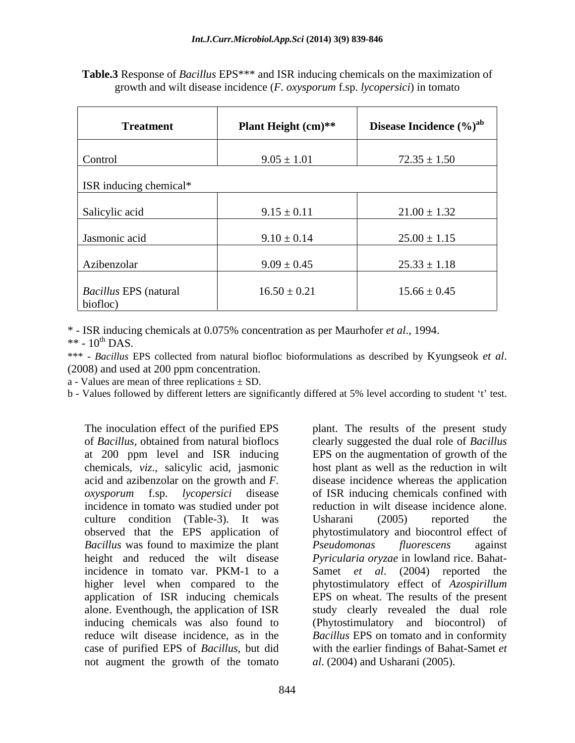| <b>Treatment</b>                  | Plant Height (cm)** | Disease Incidence (%) <sup>ab</sup> |
|-----------------------------------|---------------------|-------------------------------------|
| Control                           | $9.05 \pm 1.01$     | $72.35 \pm 1.50$                    |
| ISR inducing chemical*            |                     |                                     |
| Salicylic acid                    | $9.15 \pm 0.11$     | $21.00 \pm 1.32$                    |
| Jasmonic acid                     | $9.10 \pm 0.14$     | $25.00 \pm 1.15$                    |
| Azibenzolar                       | $9.09 \pm 0.45$     | $25.33 \pm 1.18$                    |
| Bacillus EPS (natural<br>biofloc) | $16.50 \pm 0.21$    | $15.66 \pm 0.45$                    |

**Table.3** Response of *Bacillus* EPS\*\*\* and ISR inducing chemicals on the maximization of growth and wilt disease incidence (*F*. *oxysporum* f.sp. *lycopersici*) in tomato

\* - ISR inducing chemicals at 0.075% concentration as per Maurhofer *et al*., 1994.

 $**$  - 10<sup>th</sup> DAS.

\*\*\* - *Bacillus* EPS collected from natural biofloc bioformulations as described by Kyungseok *et al*. (2008) and used at 200 ppm concentration.

a - Values are mean of three replications  $\pm$  SD.

b - Values followed by different letters are significantly differed at 5% level according to student 't' test.

The inoculation effect of the purified EPS plant. The results of the present study of *Bacillus*, obtained from natural bioflocs clearly suggested the dual role of *Bacillus* at 200 ppm level and ISR inducing EPS on the augmentation of growth of the chemicals, *viz*., salicylic acid, jasmonic acid and azibenzolar on thegrowth and *F.*  disease incidence whereas the application *oxysporum* f.sp. *lycopersici* disease incidence in tomato was studied under pot reduction in wilt disease incidence alone. culture condition (Table-3). It was Usharani (2005) reported the observed that the EPS application of phytostimulatory and biocontrol effect of *Bacillus* was found to maximize the plant height and reduced the wilt disease *Pyricularia oryzae* in lowland rice. Bahat incidence in tomato var. PKM-1 to a Samet *et al*. (2004) reported the higher level when compared to the phytostimulatory effect of *Azospirillum* application of ISR inducing chemicals alone. Eventhough, the application of ISR study clearly revealed the dual role inducing chemicals was also found to (Phytostimulatory and biocontrol) of reduce wilt disease incidence, as in the *Bacillus* EPS on tomato and in conformity case of purified EPS of *Bacillus*, but did not augment the growth of the tomato

host plant as well as the reduction in wilt of ISR inducing chemicals confined with Usharani (2005) reported the *Pseudomonas fluorescens* against EPS on wheat. The results of the present with the earlier findings of Bahat-Samet *et al*. (2004) and Usharani (2005).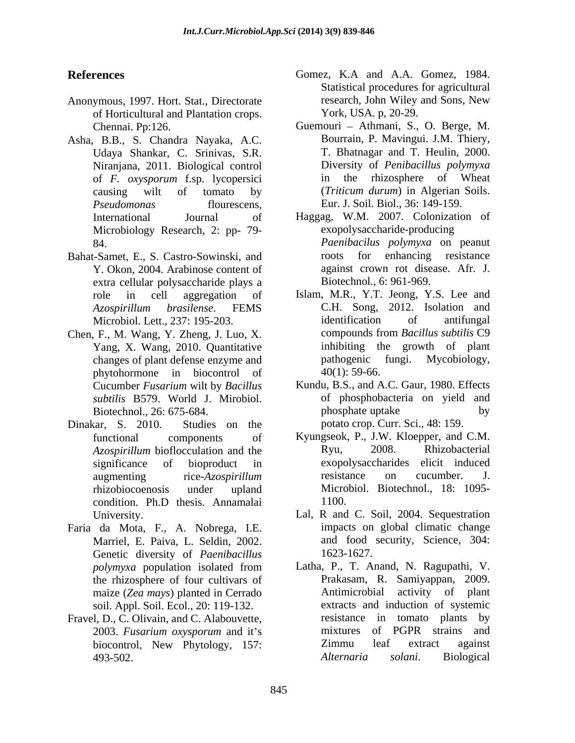- of Horticultural and Plantation crops.
- Asha, B.B., S. Chandra Nayaka, A.C. Udaya Shankar, C. Srinivas, S.R. Niranjana, 2011. Biological control of *F. oxysporum* f.sp. lycopersici Microbiology Research, 2: pp- 79-
- Bahat-Samet, E., S. Castro-Sowinski, and extra cellular polysaccharide plays a
- Chen, F., M. Wang, Y. Zheng, J. Luo, X. compounds from Bacillus subtilis C9 changes of plant defense enzyme and<br>
mhytohormone in biocontrol of  $40(1)$ : 59-66. phytohormone in biocontrol of
- Dinakar, S. 2010. Studies on the potato crop. Curr. Sci., 48: 159. condition. Ph.D thesis. Annamalai
- Faria da Mota, F., A. Nobrega, I.E. Marriel, E. Paiva, L. Seldin, 2002. Genetic diversity of *Paenibacillus* 1623-1627. maize (*Zea mays*) planted in Cerrado **Antimicrobial** soil. Appl. Soil. Ecol., 20: 119-132.
- Fravel, D., C. Olivain, and C. Alabouvette,<br>
2003. *Fusarium oxysporum* and it's mixtures of PGPR strains and 493-502.
- **References** Gomez, K.A and A.A. Gomez, 1984. Anonymous, 1997. Hort. Stat., Directorate research, John Wiley and Sons, New Statistical procedures for agricultural research, John Wiley and Sons, New York, USA. p, 20-29.
	- Chennai. Pp:126. **Guemouri Athmani, S., O. Berge, M.** causing wilt of tomato by (*Triticum durum*) in Algerian Soils. *Pseudomonas* flourescens, Eur. J. Soil. Biol., 36: 149-159. Bourrain, P. Mavingui. J.M. Thiery, T. Bhatnagar and T. Heulin, 2000. Diversity of *Penibacillus polymyxa* the rhizosphere of Wheat
	- International Journal of Haggag, W.M. 2007. Colonization of 84. *Paenibacilus polymyxa* on peanut Y. Okon, 2004. Arabinose content of against crown rot disease. Afr. J. exopolysaccharide-producing for enhancing resistance Biotechnol., 6: 961-969.
	- role in cell aggregation of Islam, M.R., Y.T. Jeong, Y.S. Lee and *Azospirillum brasilense*. FEMS Microbiol. Lett., 237: 195-203. identification of antifungal Yang, X. Wang, 2010. Quantitative inhibiting the growth of plant changes of plant defense enzyme and pathogenic fungi. Mycobiology, C.H. Song, 2012. Isolation and identification of antifungal compounds from *Bacillus subtilis* C9 inhibiting the growth of plant pathogenic fungi. Mycobiology,  $40(1)$ : 59-66.
	- Cucumber *Fusarium* wilt by *Bacillus subtilis* B579. World J. Mirobiol. of phosphobacteria on yield and Biotechnol., 26: 675-684. by phosphate uptake by Kundu, B.S., and A.C. Gaur, 1980. Effects phosphate uptake by potato crop. Curr. Sci., 48: 159.
	- functional components of Kyungseok, P., J.W. Kloepper, and C.M. *Azospirillum* bioflocculation and the Ryu, 2008. Rhizobacterial significance of bioproduct in exopolysaccharides elicit induced augmenting rice-*Azospirillum* resistance on cucumber. J. rhizobiocoenosis under upland Microbiol. Biotechnol., 18: 1095- Ryu, 2008. Rhizobacterial resistance on cucumber. J. 1100.
	- University. Lal, R and C. Soil, 2004. Sequestration impacts on global climatic change and food security, Science, 304: 1623-1627.
	- *polymyxa* population isolated from the rhizosphere of four cultivars of **Example 18 Prakasam**, R. Samiyappan, 2009.<br>
	maize (Zea mays) planted in Cerrado **Antimicrobial** activity of plant 2003. *Fusarium oxysporum* and it's mixtures of PGPR strains and biocontrol, New Phytology, 157: <br>
	2immu leaf extract against<br> *Alternaria solani*. Biological Latha, P., T. Anand, N. Ragupathi, V. Prakasam, R. Samiyappan, 2009. Antimicrobial activity of plant extracts and induction of systemic resistance in tomato plants by mixtures of PGPR strains and Zimmu leaf extract against *Alternaria solani*. Biological